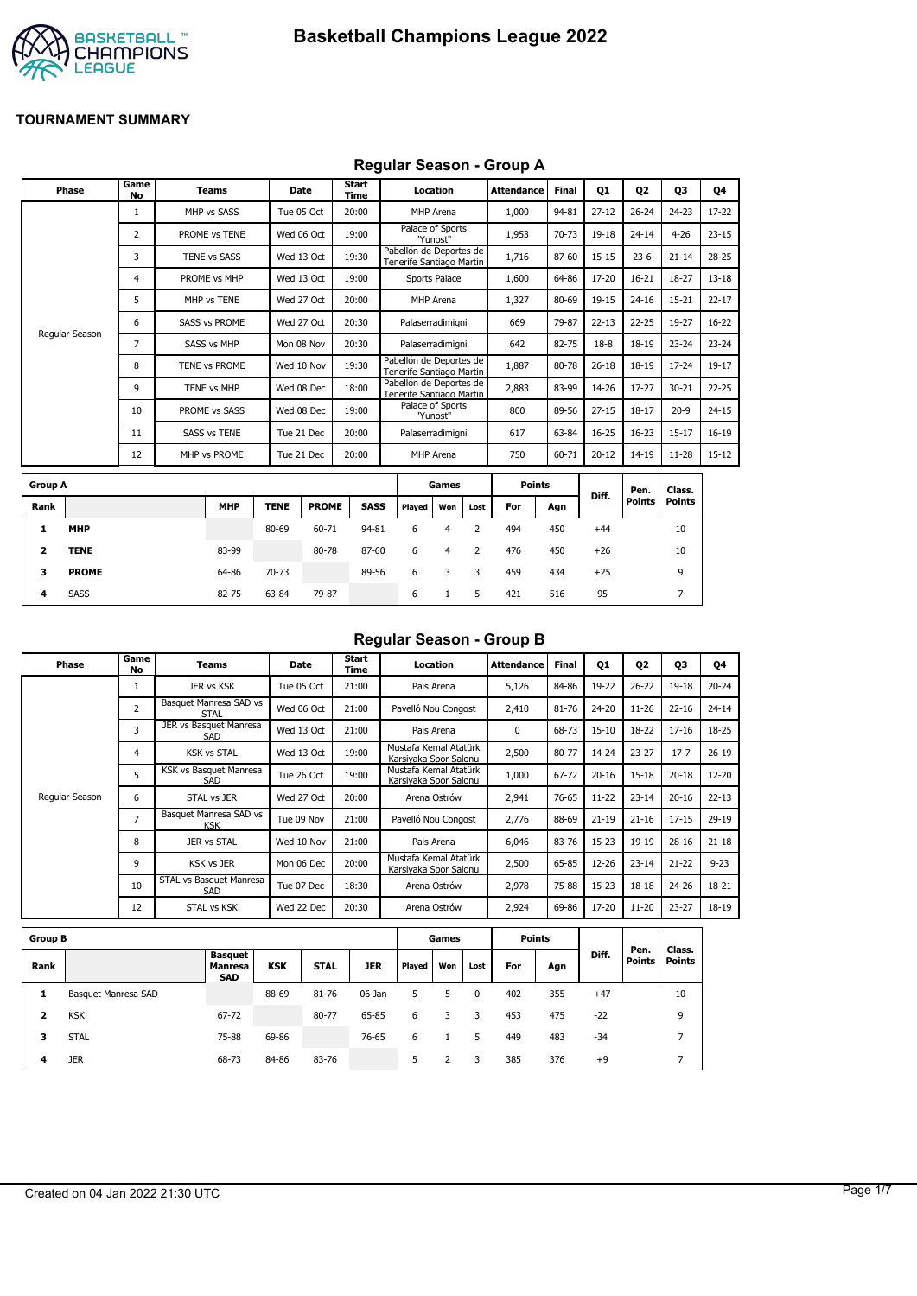

## **Regular Season - Group A**

| Phase          | Game<br>No |  | <b>Teams</b>         |             | Date         | <b>Start</b><br><b>Time</b> |                                                     | Location                     |      | <b>Attendance</b> | <b>Final</b> | <b>Q1</b> | Q <sub>2</sub> | Q3            | Q4        |
|----------------|------------|--|----------------------|-------------|--------------|-----------------------------|-----------------------------------------------------|------------------------------|------|-------------------|--------------|-----------|----------------|---------------|-----------|
|                | 1          |  | MHP vs SASS          |             | Tue 05 Oct   | 20:00                       |                                                     | MHP Arena                    |      | 1,000             | 94-81        | $27 - 12$ | $26 - 24$      | $24 - 23$     | $17 - 22$ |
|                | 2          |  | PROME vs TENE        |             | Wed 06 Oct   | 19:00                       |                                                     | Palace of Sports<br>"Yunost" |      | 1,953             | 70-73        | 19-18     | $24 - 14$      | $4 - 26$      | $23 - 15$ |
|                | 3          |  | TENE vs SASS         |             | Wed 13 Oct   | 19:30                       | Pabellón de Deportes de<br>Tenerife Santiago Martin |                              |      | 1,716             | 87-60        | $15 - 15$ | $23 - 6$       | $21 - 14$     | $28 - 25$ |
|                | 4          |  | PROME vs MHP         |             | Wed 13 Oct   | 19:00                       |                                                     | Sports Palace                |      | 1,600             | 64-86        | 17-20     | $16 - 21$      | 18-27         | $13 - 18$ |
|                | 5          |  | MHP vs TENE          |             | Wed 27 Oct   | 20:00                       |                                                     | MHP Arena                    |      | 1,327             | 80-69        | 19-15     | $24 - 16$      | $15 - 21$     | $22 - 17$ |
|                | 6          |  | <b>SASS vs PROME</b> |             | Wed 27 Oct   | 20:30                       | Palaserradimigni                                    |                              |      | 669               | 79-87        | $22 - 13$ | $22 - 25$      | 19-27         | $16 - 22$ |
| Regular Season | 7          |  | <b>SASS vs MHP</b>   |             | Mon 08 Nov   | 20:30                       | Palaserradimigni                                    |                              |      | 642               | 82-75        | $18-8$    | $18 - 19$      | $23 - 24$     | $23 - 24$ |
|                | 8          |  | TENE vs PROME        |             | Wed 10 Nov   | 19:30                       | Pabellón de Deportes de<br>Tenerife Santiago Martin |                              |      | 1,887             | 80-78        | $26 - 18$ | 18-19          | $17 - 24$     | 19-17     |
|                | 9          |  | TENE vs MHP          |             | Wed 08 Dec   | 18:00                       | Pabellón de Deportes de<br>Tenerife Santiago Martin |                              |      | 2,883             | 83-99        | 14-26     | $17 - 27$      | $30 - 21$     | $22 - 25$ |
|                | 10         |  | PROME vs SASS        |             | Wed 08 Dec   | 19:00                       |                                                     | Palace of Sports<br>"Yunost" |      | 800               | 89-56        | $27 - 15$ | $18 - 17$      | $20 - 9$      | $24 - 15$ |
|                | 11         |  | <b>SASS vs TENE</b>  |             | Tue 21 Dec   | 20:00                       | Palaserradimigni                                    |                              |      | 617               | 63-84        | $16 - 25$ | $16 - 23$      | $15 - 17$     | $16 - 19$ |
|                | 12         |  | MHP vs PROME         |             | Tue 21 Dec   | 20:00                       |                                                     | MHP Arena                    |      | 750               | 60-71        | $20 - 12$ | 14-19          | $11 - 28$     | $15 - 12$ |
| <b>Group A</b> |            |  |                      |             |              |                             |                                                     | Games                        |      | <b>Points</b>     |              |           | Pen.           | Class.        |           |
| Rank           |            |  | <b>MHP</b>           | <b>TENE</b> | <b>PROME</b> | <b>SASS</b>                 | Played                                              | Won                          | Lost | For               | Agn          | Diff.     | <b>Points</b>  | <b>Points</b> |           |
|                |            |  |                      |             |              |                             |                                                     |                              |      |                   |              |           |                |               |           |

|      |              |            |             |              |       |        |     |      |     |     |       | ген.   | ulass. |  |
|------|--------------|------------|-------------|--------------|-------|--------|-----|------|-----|-----|-------|--------|--------|--|
| Rank |              | <b>MHP</b> | <b>TENE</b> | <b>PROME</b> | SASS  | Played | Won | Lost | For | Agn | Diff. | Points | Points |  |
|      | <b>MHP</b>   |            | 80-69       | 60-71        | 94-81 | 6      |     |      | 494 | 450 | $+44$ |        | 10     |  |
|      | <b>TENE</b>  | 83-99      |             | 80-78        | 87-60 | 6      | 4   |      | 476 | 450 | $+26$ |        | 10     |  |
| з    | <b>PROME</b> | 64-86      | 70-73       |              | 89-56 | 6      | 3   | -3   | 459 | 434 | $+25$ |        | 9      |  |
| 4    | <b>SASS</b>  | 82-75      | 63-84       | 79-87        |       | 6      |     |      | 421 | 516 | -95   |        |        |  |

## **Regular Season - Group B**

| Phase          | Game<br>No     | Teams                                 | Date       | Start<br>Time | Location                                       | <b>Attendance</b> | <b>Final</b> | Q1        | Q2        | Q3        | Q4        |
|----------------|----------------|---------------------------------------|------------|---------------|------------------------------------------------|-------------------|--------------|-----------|-----------|-----------|-----------|
|                |                | JER vs KSK                            | Tue 05 Oct | 21:00         | Pais Arena                                     | 5,126             | 84-86        | 19-22     | $26 - 22$ | 19-18     | $20 - 24$ |
|                | 2              | Basquet Manresa SAD vs<br><b>STAL</b> | Wed 06 Oct | 21:00         | Pavelló Nou Congost                            | 2,410             | 81-76        | $24 - 20$ | $11 - 26$ | $22 - 16$ | $24 - 14$ |
|                | 3              | JER vs Basquet Manresa<br><b>SAD</b>  | Wed 13 Oct | 21:00         | Pais Arena                                     | 0                 | 68-73        | $15 - 10$ | 18-22     | $17 - 16$ | 18-25     |
|                | 4              | <b>KSK vs STAL</b>                    | Wed 13 Oct | 19:00         | Mustafa Kemal Atatürk<br>Karsiyaka Spor Salonu | 2,500             | 80-77        | 14-24     | $23 - 27$ | $17 - 7$  | $26 - 19$ |
|                | 5              | KSK vs Basquet Manresa<br>SAD         | Tue 26 Oct | 19:00         | Mustafa Kemal Atatürk<br>Karsiyaka Spor Salonu | 1,000             | 67-72        | $20 - 16$ | $15 - 18$ | $20 - 18$ | $12 - 20$ |
| Regular Season | 6              | STAL vs JER                           | Wed 27 Oct | 20:00         | Arena Ostrów                                   | 2,941             | 76-65        | $11 - 22$ | $23 - 14$ | $20 - 16$ | $22 - 13$ |
|                | $\overline{7}$ | Basquet Manresa SAD vs<br><b>KSK</b>  | Tue 09 Nov | 21:00         | Pavelló Nou Congost                            | 2,776             | 88-69        | $21 - 19$ | $21 - 16$ | $17 - 15$ | $29-19$   |
|                | 8              | <b>JER vs STAL</b>                    | Wed 10 Nov | 21:00         | Pais Arena                                     | 6,046             | 83-76        | $15 - 23$ | 19-19     | $28 - 16$ | $21 - 18$ |
|                | 9              | <b>KSK vs JER</b>                     | Mon 06 Dec | 20:00         | Mustafa Kemal Atatürk<br>Karsiyaka Spor Salonu | 2,500             | 65-85        | $12 - 26$ | $23 - 14$ | $21 - 22$ | $9 - 23$  |
|                | 10             | STAL vs Basquet Manresa<br>SAD        | Tue 07 Dec | 18:30         | Arena Ostrów                                   | 2,978             | 75-88        | $15 - 23$ | $18 - 18$ | 24-26     | 18-21     |
|                | 12             | <b>STAL vs KSK</b>                    | Wed 22 Dec | 20:30         | Arena Ostrów                                   | 2,924             | 69-86        | 17-20     | $11 - 20$ | $23 - 27$ | 18-19     |

| <b>Group B</b> |                     |                                                |            |             |            |        | Games |          | <b>Points</b> |     |       |                       |                  |
|----------------|---------------------|------------------------------------------------|------------|-------------|------------|--------|-------|----------|---------------|-----|-------|-----------------------|------------------|
| Rank           |                     | <b>Basquet</b><br><b>Manresa</b><br><b>SAD</b> | <b>KSK</b> | <b>STAL</b> | <b>JER</b> | Played | Won   | Lost     | For           | Agn | Diff. | Pen.<br><b>Points</b> | Class.<br>Points |
| л              | Basquet Manresa SAD |                                                | 88-69      | 81-76       | 06 Jan     | 5.     | 5     | $\Omega$ | 402           | 355 | $+47$ |                       | 10               |
| 2              | <b>KSK</b>          | 67-72                                          |            | 80-77       | 65-85      | 6      | 3     | 3        | 453           | 475 | $-22$ |                       | 9                |
| з              | <b>STAL</b>         | 75-88                                          | 69-86      |             | 76-65      | 6      |       | 5        | 449           | 483 | $-34$ |                       | -                |
| 4              | <b>JER</b>          | 68-73                                          | 84-86      | 83-76       |            | 5      |       | 3        | 385           | 376 | $+9$  |                       |                  |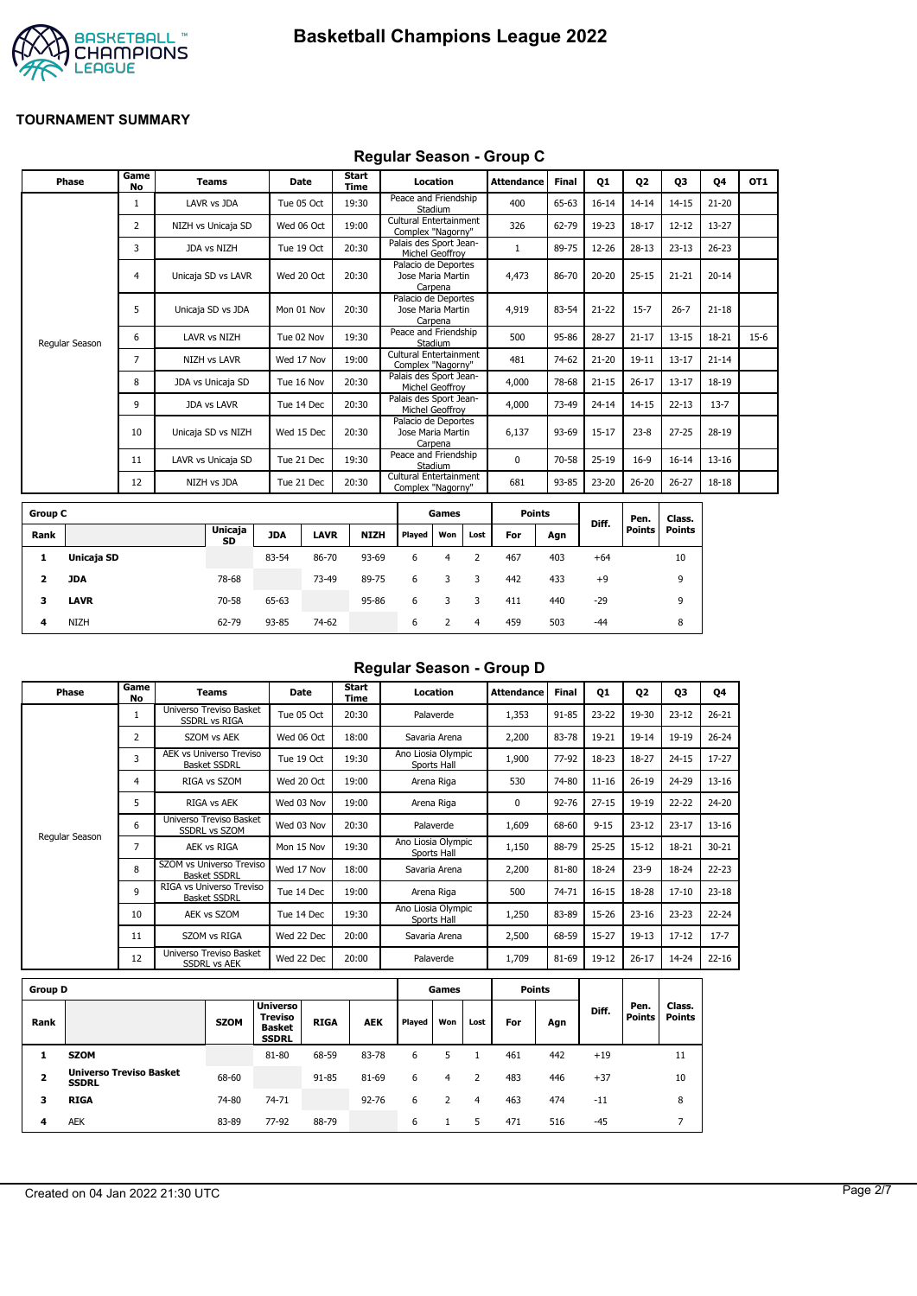



#### **Regular Season - Group C**

| Phase          | Game<br><b>No</b> | <b>Teams</b>        | Date       | Start<br>Time | Location                                            | <b>Attendance</b> | <b>Final</b> | Q1        | Q <sub>2</sub> | Q3        | Q4        | OT <sub>1</sub> |
|----------------|-------------------|---------------------|------------|---------------|-----------------------------------------------------|-------------------|--------------|-----------|----------------|-----------|-----------|-----------------|
|                | 1                 | LAVR vs JDA         | Tue 05 Oct | 19:30         | Peace and Friendship<br>Stadium                     | 400               | 65-63        | $16 - 14$ | $14 - 14$      | $14 - 15$ | $21 - 20$ |                 |
|                | 2                 | NIZH vs Unicaja SD  | Wed 06 Oct | 19:00         | Cultural Entertainment<br>Complex "Nagorny"         | 326               | 62-79        | 19-23     | $18 - 17$      | $12 - 12$ | 13-27     |                 |
|                | 3                 | JDA vs NIZH         | Tue 19 Oct | 20:30         | Palais des Sport Jean-<br>Michel Geoffroy           |                   | 89-75        | 12-26     | $28-13$        | $23 - 13$ | $26 - 23$ |                 |
|                | 4                 | Unicaja SD vs LAVR  | Wed 20 Oct | 20:30         | Palacio de Deportes<br>Jose Maria Martin<br>Carpena | 4,473             | 86-70        | $20 - 20$ | $25 - 15$      | $21 - 21$ | $20 - 14$ |                 |
|                | 5                 | Unicaja SD vs JDA   | Mon 01 Nov | 20:30         | Palacio de Deportes<br>Jose Maria Martin<br>Carpena | 4,919             | 83-54        | $21 - 22$ | $15 - 7$       | $26 - 7$  | $21 - 18$ |                 |
| Regular Season | 6                 | LAVR vs NIZH        | Tue 02 Nov | 19:30         | Peace and Friendship<br>Stadium                     | 500               | 95-86        | $28 - 27$ | $21 - 17$      | $13 - 15$ | 18-21     | $15-6$          |
|                | $\overline{7}$    | <b>NIZH vs LAVR</b> | Wed 17 Nov | 19:00         | Cultural Entertainment<br>Complex "Nagorny"         | 481               | 74-62        | $21 - 20$ | $19 - 11$      | $13 - 17$ | $21 - 14$ |                 |
|                | 8                 | JDA vs Unicaja SD   | Tue 16 Nov | 20:30         | Palais des Sport Jean-<br>Michel Geoffroy           | 4,000             | 78-68        | $21 - 15$ | $26 - 17$      | $13 - 17$ | 18-19     |                 |
|                | 9                 | <b>JDA vs LAVR</b>  | Tue 14 Dec | 20:30         | Palais des Sport Jean-<br>Michel Geoffrov           | 4,000             | 73-49        | $24 - 14$ | $14 - 15$      | $22 - 13$ | $13 - 7$  |                 |
|                | 10                | Unicaja SD vs NIZH  | Wed 15 Dec | 20:30         | Palacio de Deportes<br>Jose Maria Martin<br>Carpena | 6,137             | 93-69        | $15 - 17$ | $23 - 8$       | $27 - 25$ | 28-19     |                 |
|                | 11                | LAVR vs Unicaja SD  | Tue 21 Dec | 19:30         | Peace and Friendship<br>Stadium                     | $\Omega$          | 70-58        | $25-19$   | $16-9$         | $16 - 14$ | $13 - 16$ |                 |
|                | 12                | NIZH vs JDA         | Tue 21 Dec | 20:30         | Cultural Entertainment<br>Complex "Nagorny"         | 681               | 93-85        | 23-20     | $26 - 20$      | $26 - 27$ | 18-18     |                 |
|                |                   |                     |            |               |                                                     |                   |              |           |                |           |           |                 |

| <b>Group C</b> |             |                      |            |             |             |        | Games |      | <b>Points</b> |     |       | Pen.   | Class. |
|----------------|-------------|----------------------|------------|-------------|-------------|--------|-------|------|---------------|-----|-------|--------|--------|
| Rank           |             | <b>Unicaja</b><br>SD | <b>JDA</b> | <b>LAVR</b> | <b>NIZH</b> | Played | Won   | Lost | For           | Agn | Diff. | Points | Points |
| л.             | Unicaja SD  |                      | 83-54      | 86-70       | 93-69       | 6      | 4     |      | 467           | 403 | $+64$ |        | 10     |
| 2              | JDA         | 78-68                |            | 73-49       | 89-75       | 6      | 3     | 3    | 442           | 433 | $+9$  |        | 9      |
| 3              | <b>LAVR</b> | 70-58                | 65-63      |             | 95-86       | 6      |       |      | 411           | 440 | $-29$ |        | 9      |
| 4              | <b>NIZH</b> | 62-79                | 93-85      | 74-62       |             | 6      |       | 4    | 459           | 503 | $-44$ |        | 8      |

# **Regular Season - Group D**

| Phase          | Game<br>No     | Teams                                                 | <b>Date</b> | Start<br>Time | Location                          | <b>Attendance</b> | Final     | Q1        | 02        | 03        | Q4        |
|----------------|----------------|-------------------------------------------------------|-------------|---------------|-----------------------------------|-------------------|-----------|-----------|-----------|-----------|-----------|
|                | 1              | Universo Treviso Basket<br><b>SSDRL vs RIGA</b>       | Tue 05 Oct  | 20:30         | Palaverde                         | 1,353             | 91-85     | $23 - 22$ | 19-30     | $23 - 12$ | $26 - 21$ |
|                | $\overline{2}$ | SZOM vs AEK                                           | Wed 06 Oct  | 18:00         | Savaria Arena                     | 2,200             | 83-78     | 19-21     | $19 - 14$ | 19-19     | $26 - 24$ |
|                | 3              | <b>AEK vs Universo Treviso</b><br><b>Basket SSDRL</b> | Tue 19 Oct  | 19:30         | Ano Liosia Olympic<br>Sports Hall | 1,900             | 77-92     | 18-23     | 18-27     | $24 - 15$ | $17 - 27$ |
|                | 4              | RIGA vs SZOM                                          | Wed 20 Oct  | 19:00         | Arena Riga                        | 530               | 74-80     | $11 - 16$ | $26 - 19$ | 24-29     | $13 - 16$ |
|                | 5              | RIGA vs AEK                                           | Wed 03 Nov  | 19:00         | Arena Riga                        | 0                 | $92 - 76$ | $27 - 15$ | 19-19     | $22 - 22$ | 24-20     |
|                | 6              | Universo Treviso Basket<br><b>SSDRL vs SZOM</b>       | Wed 03 Nov  | 20:30         | Palaverde                         | 1,609             | 68-60     | $9 - 15$  | $23 - 12$ | $23 - 17$ | $13 - 16$ |
| Regular Season | 7              | AEK vs RIGA                                           | Mon 15 Nov  | 19:30         | Ano Liosia Olympic<br>Sports Hall | 1,150             | 88-79     | $25 - 25$ | $15 - 12$ | 18-21     | $30 - 21$ |
|                | 8              | SZOM vs Universo Treviso<br><b>Basket SSDRL</b>       | Wed 17 Nov  | 18:00         | Savaria Arena                     | 2,200             | 81-80     | 18-24     | $23-9$    | 18-24     | $22 - 23$ |
|                | 9              | RIGA vs Universo Treviso<br><b>Basket SSDRL</b>       | Tue 14 Dec  | 19:00         | Arena Riga                        | 500               | 74-71     | $16 - 15$ | 18-28     | $17 - 10$ | $23 - 18$ |
|                | 10             | AEK vs SZOM                                           | Tue 14 Dec  | 19:30         | Ano Liosia Olympic<br>Sports Hall | 1,250             | 83-89     | 15-26     | $23 - 16$ | $23 - 23$ | $22 - 24$ |
|                | 11             | SZOM vs RIGA                                          | Wed 22 Dec  | 20:00         | Savaria Arena                     | 2,500             | 68-59     | $15 - 27$ | $19-13$   | $17 - 12$ | $17 - 7$  |
|                | 12             | Universo Treviso Basket<br><b>SSDRL vs AEK</b>        | Wed 22 Dec  | 20:00         | Palaverde                         | 1,709             | 81-69     | 19-12     | $26 - 17$ | 14-24     | $22 - 16$ |
|                |                |                                                       |             |               |                                   |                   |           |           |           |           |           |

| <b>Group D</b>          |                                                |             |                                                                    |             |            |        | Games |      |     | Points |       |                       |                         |
|-------------------------|------------------------------------------------|-------------|--------------------------------------------------------------------|-------------|------------|--------|-------|------|-----|--------|-------|-----------------------|-------------------------|
| Rank                    |                                                | <b>SZOM</b> | <b>Universo</b><br><b>Treviso</b><br><b>Basket</b><br><b>SSDRL</b> | <b>RIGA</b> | <b>AEK</b> | Played | Won   | Lost | For | Agn    | Diff. | Pen.<br><b>Points</b> | Class.<br><b>Points</b> |
|                         | <b>SZOM</b>                                    |             | 81-80                                                              | 68-59       | 83-78      | 6      |       |      | 461 | 442    | $+19$ |                       | 11                      |
| $\overline{\mathbf{2}}$ | <b>Universo Treviso Basket</b><br><b>SSDRL</b> | 68-60       |                                                                    | 91-85       | 81-69      | 6      | 4     |      | 483 | 446    | $+37$ |                       | 10                      |
| з                       | <b>RIGA</b>                                    | 74-80       | 74-71                                                              |             | $92 - 76$  | 6      |       | 4    | 463 | 474    | $-11$ |                       | 8                       |
| 4                       | <b>AEK</b>                                     | 83-89       | 77-92                                                              | 88-79       |            | 6      |       | 5    | 471 | 516    | $-45$ |                       |                         |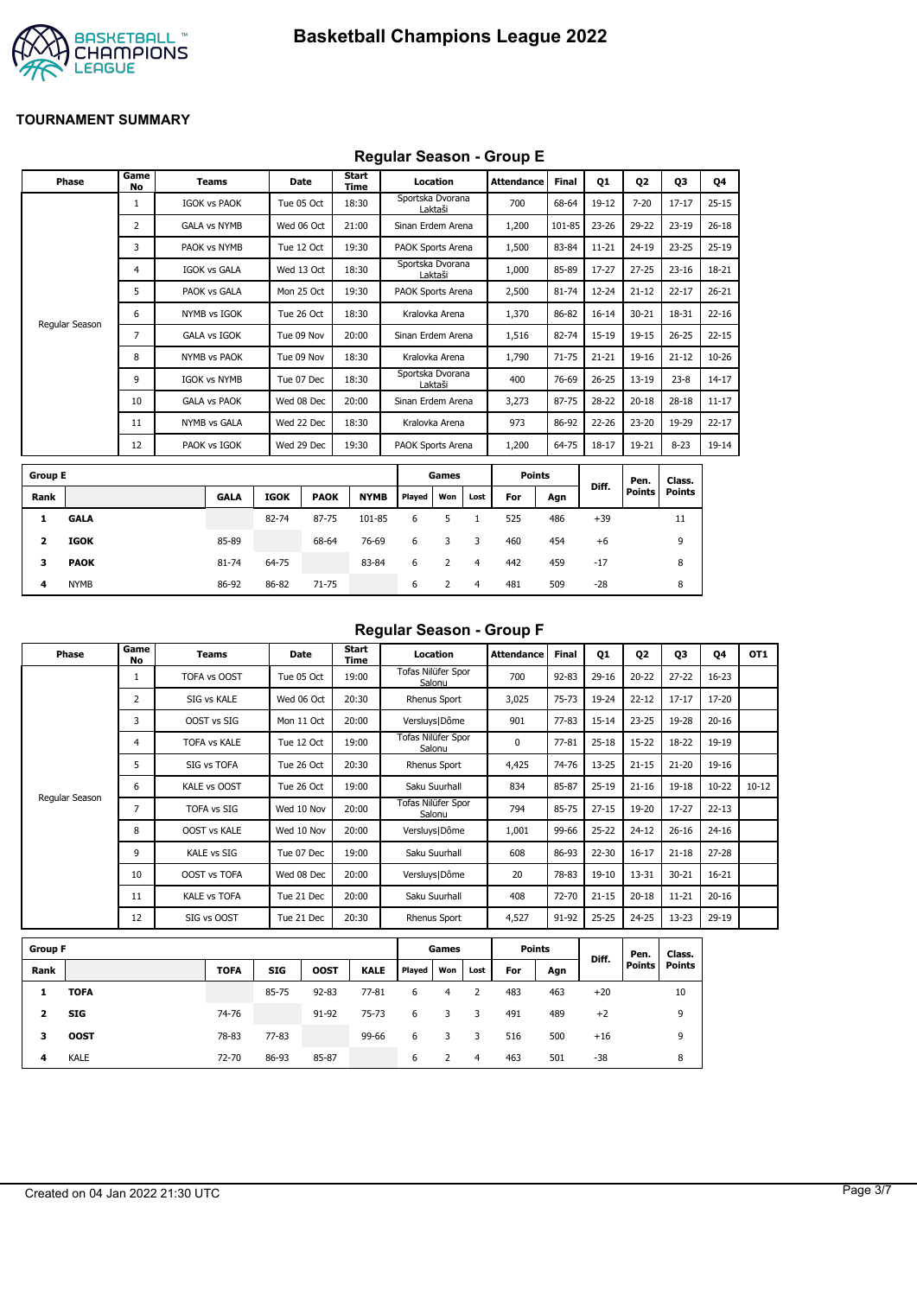

## **Regular Season - Group E**

|                | Phase          | Game<br>No               |                     | <b>Teams</b>        |             | <b>Date</b> | Start<br>Time    |                   | Location |                | <b>Attendance</b> | <b>Final</b> | 01        | <b>Q2</b>     | 03            | Q4        |
|----------------|----------------|--------------------------|---------------------|---------------------|-------------|-------------|------------------|-------------------|----------|----------------|-------------------|--------------|-----------|---------------|---------------|-----------|
|                |                | $\mathbf{1}$             |                     | <b>IGOK vs PAOK</b> |             | Tue 05 Oct  | 18:30            | Sportska Dvorana  | Laktaši  |                | 700               | 68-64        | 19-12     | $7 - 20$      | $17 - 17$     | $25 - 15$ |
|                |                | $\overline{2}$           |                     | <b>GALA vs NYMB</b> |             | Wed 06 Oct  | 21:00            | Sinan Erdem Arena |          |                | 1,200             | 101-85       | $23 - 26$ | 29-22         | $23 - 19$     | $26 - 18$ |
|                |                | 3                        |                     | PAOK vs NYMB        |             | Tue 12 Oct  | 19:30            | PAOK Sports Arena |          |                | 1,500             | 83-84        | $11 - 21$ | $24 - 19$     | $23 - 25$     | $25-19$   |
|                |                | 4                        |                     | <b>IGOK vs GALA</b> |             | Wed 13 Oct  | 18:30            | Sportska Dvorana  | Laktaši  |                | 1,000             | 85-89        | 17-27     | $27 - 25$     | $23 - 16$     | 18-21     |
|                |                | 5                        |                     | PAOK vs GALA        |             | Mon 25 Oct  | 19:30            | PAOK Sports Arena |          |                | 2,500             | 81-74        | 12-24     | $21 - 12$     | $22 - 17$     | $26 - 21$ |
|                |                | 6                        |                     | NYMB vs IGOK        |             | Tue 26 Oct  | 18:30            | Kralovka Arena    |          |                | 1,370             | 86-82        | $16 - 14$ | $30 - 21$     | 18-31         | $22 - 16$ |
|                | Regular Season | 7                        |                     | <b>GALA vs IGOK</b> |             | Tue 09 Nov  | 20:00            | Sinan Erdem Arena |          |                | 1,516             | 82-74        | 15-19     | $19 - 15$     | $26 - 25$     | $22 - 15$ |
|                |                | 8                        | <b>NYMB vs PAOK</b> |                     |             | Tue 09 Nov  | 18:30            | Kralovka Arena    |          |                | 1,790             | $71 - 75$    | $21 - 21$ | $19 - 16$     | $21 - 12$     | $10 - 26$ |
|                |                | 9<br><b>IGOK vs NYMB</b> |                     |                     | Tue 07 Dec  | 18:30       | Sportska Dvorana | Laktaši           |          | 400            | 76-69             | $26 - 25$    | $13 - 19$ | $23 - 8$      | $14 - 17$     |           |
|                |                | 10                       |                     | <b>GALA vs PAOK</b> |             | Wed 08 Dec  | 20:00            | Sinan Erdem Arena |          |                | 3,273             | 87-75        | 28-22     | $20 - 18$     | $28 - 18$     | $11 - 17$ |
|                |                | 11                       |                     | NYMB vs GALA        |             | Wed 22 Dec  | 18:30            | Kralovka Arena    |          |                | 973               | 86-92        | 22-26     | $23 - 20$     | 19-29         | $22 - 17$ |
|                |                | 12                       |                     | PAOK vs IGOK        |             | Wed 29 Dec  | 19:30            | PAOK Sports Arena |          |                | 1,200             | 64-75        | $18 - 17$ | 19-21         | $8 - 23$      | $19-14$   |
| <b>Group E</b> |                |                          |                     |                     |             |             |                  |                   | Games    |                | <b>Points</b>     |              |           | Pen.          | Class.        |           |
| Rank           |                |                          |                     | <b>GALA</b>         | <b>IGOK</b> | <b>PAOK</b> | <b>NYMB</b>      | Played            | Won      | Lost           | For               | Agn          | Diff.     | <b>Points</b> | <b>Points</b> |           |
| 1              | <b>GALA</b>    |                          |                     |                     | 82-74       | 87-75       | 101-85           | 6                 | 5        | $\mathbf{1}$   | 525               | 486          | $+39$     |               | 11            |           |
| 2              | <b>IGOK</b>    |                          |                     | 85-89               |             | 68-64       | 76-69            | 6                 | 3        | 3              | 460               | 454          | $+6$      |               | 9             |           |
| 3              | <b>PAOK</b>    |                          |                     | 81-74               | 64-75       |             | 83-84            | 6                 | 2        | $\overline{4}$ | 442               | 459          | $-17$     |               | 8             |           |
| 4              | <b>NYMB</b>    |                          |                     | 86-92               | 86-82       | 71-75       |                  | 6                 | 2        | 4              | 481               | 509          | $-28$     |               | 8             |           |

#### **Regular Season - Group F**

| Phase          | Game<br>No     | Teams               | Date       | Start<br>Time | Location                     | <b>Attendance</b> | <b>Final</b> | Q1        | <b>02</b> | Q <sub>3</sub> | Q4        | OT <sub>1</sub> |
|----------------|----------------|---------------------|------------|---------------|------------------------------|-------------------|--------------|-----------|-----------|----------------|-----------|-----------------|
|                |                | TOFA vs OOST        | Tue 05 Oct | 19:00         | Tofas Nilüfer Spor<br>Salonu | 700               | $92 - 83$    | $29-16$   | $20 - 22$ | $27 - 22$      | $16 - 23$ |                 |
|                | $\overline{2}$ | SIG vs KALE         | Wed 06 Oct | 20:30         | Rhenus Sport                 | 3,025             | $75 - 73$    | 19-24     | $22 - 12$ | $17 - 17$      | $17 - 20$ |                 |
|                | 3              | OOST vs SIG         | Mon 11 Oct | 20:00         | Versluys   Dôme              | 901               | $77 - 83$    | $15 - 14$ | $23 - 25$ | 19-28          | $20 - 16$ |                 |
|                | 4              | <b>TOFA vs KALE</b> | Tue 12 Oct | 19:00         | Tofas Nilüfer Spor<br>Salonu | 0                 | $77 - 81$    | $25 - 18$ | $15 - 22$ | 18-22          | 19-19     |                 |
|                | 5              | SIG vs TOFA         | Tue 26 Oct | 20:30         | <b>Rhenus Sport</b>          | 4,425             | 74-76        | $13 - 25$ | $21 - 15$ | $21 - 20$      | 19-16     |                 |
|                | 6              | KALE vs OOST        | Tue 26 Oct | 19:00         | Saku Suurhall                | 834               | 85-87        | $25-19$   | $21 - 16$ | $19 - 18$      | $10 - 22$ | $10 - 12$       |
| Regular Season | 7              | <b>TOFA vs SIG</b>  | Wed 10 Nov | 20:00         | Tofas Nilüfer Spor<br>Salonu | 794               | 85-75        | $27 - 15$ | 19-20     | $17 - 27$      | $22 - 13$ |                 |
|                | 8              | <b>OOST vs KALE</b> | Wed 10 Nov | 20:00         | Versluys   Dôme              | 1,001             | 99-66        | $25 - 22$ | $24 - 12$ | $26 - 16$      | $24 - 16$ |                 |
|                | 9              | <b>KALE vs SIG</b>  | Tue 07 Dec | 19:00         | Saku Suurhall                | 608               | 86-93        | 22-30     | $16 - 17$ | $21 - 18$      | $27 - 28$ |                 |
|                | 10             | OOST vs TOFA        | Wed 08 Dec | 20:00         | Versluys   Dôme              | 20                | 78-83        | 19-10     | $13 - 31$ | $30 - 21$      | $16 - 21$ |                 |
|                | 11             | <b>KALE vs TOFA</b> | Tue 21 Dec | 20:00         | Saku Suurhall                | 408               | 72-70        | $21 - 15$ | $20 - 18$ | $11 - 21$      | $20 - 16$ |                 |
|                | 12             | SIG vs OOST         | Tue 21 Dec | 20:30         | <b>Rhenus Sport</b>          | 4,527             | 91-92        | 25-25     | 24-25     | $13 - 23$      | 29-19     |                 |

| <b>Group F</b> |             |             |            |             |             |        | Games |      | <b>Points</b> |     |       | Pen.          | Class.        |
|----------------|-------------|-------------|------------|-------------|-------------|--------|-------|------|---------------|-----|-------|---------------|---------------|
| Rank           |             | <b>TOFA</b> | <b>SIG</b> | <b>OOST</b> | <b>KALE</b> | Played | Won   | Lost | For           | Agn | Diff. | <b>Points</b> | <b>Points</b> |
|                | <b>TOFA</b> |             | 85-75      | $92 - 83$   | $77 - 81$   | 6      | 4     |      | 483           | 463 | $+20$ |               | 10            |
| 2              | <b>SIG</b>  | 74-76       |            | 91-92       | $75 - 73$   | 6      |       | 3    | 491           | 489 | $+2$  |               | 9             |
| з              | <b>OOST</b> | 78-83       | $77 - 83$  |             | 99-66       | 6      |       | 3    | 516           | 500 | $+16$ |               | 9             |
| 4              | <b>KALE</b> | 72-70       | 86-93      | 85-87       |             | 6      |       | 4    | 463           | 501 | $-38$ |               | 8             |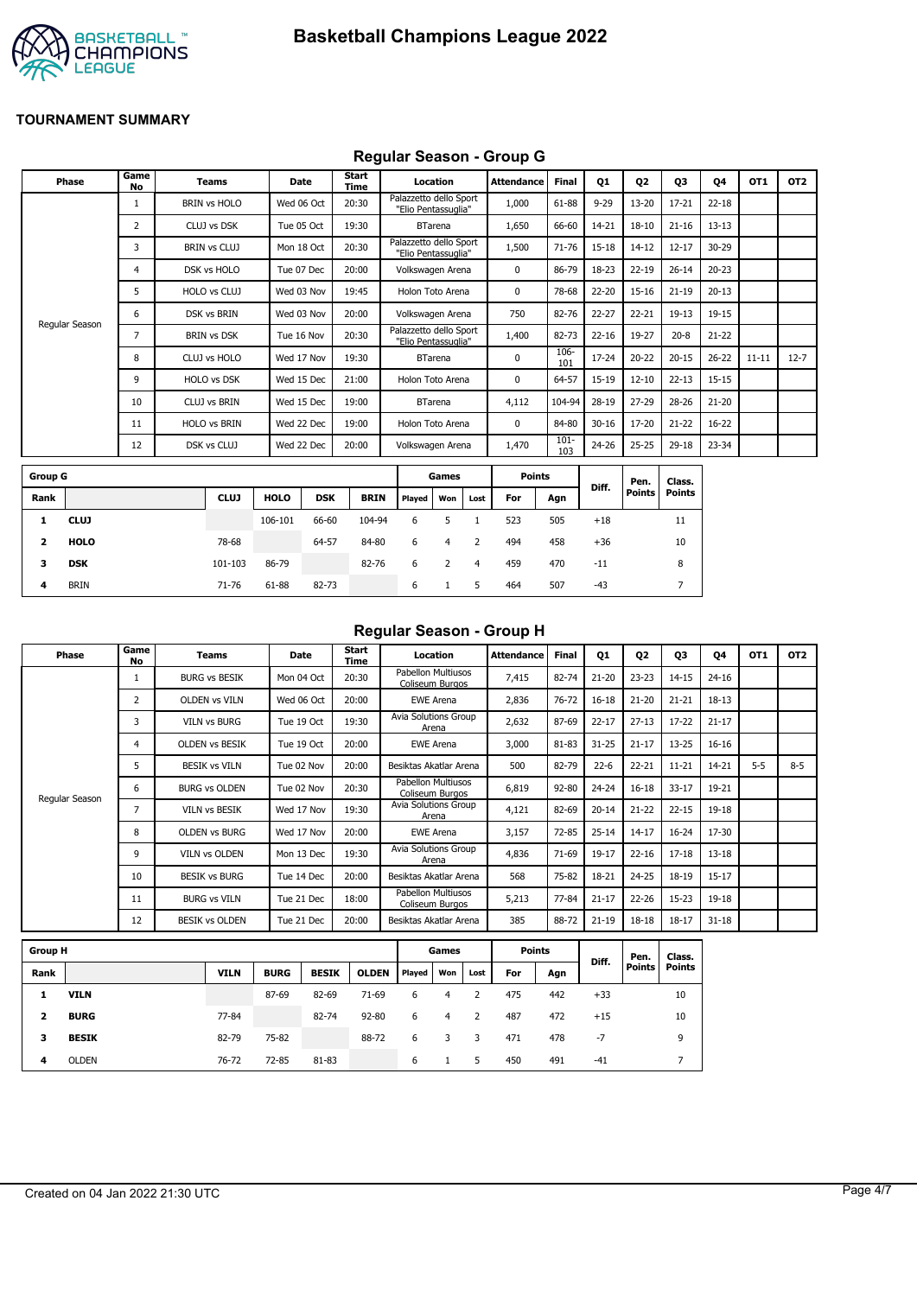

## **Regular Season - Group G**

| Phase            | Game<br><b>No</b> | <b>Teams</b>        | Date        |            | Start<br>Time |                                               | Location         |      | <b>Attendance</b> | <b>Final</b>   | Q1        | Q <sub>2</sub> | Q3            | Q4        | OT <sub>1</sub> | OT <sub>2</sub> |
|------------------|-------------------|---------------------|-------------|------------|---------------|-----------------------------------------------|------------------|------|-------------------|----------------|-----------|----------------|---------------|-----------|-----------------|-----------------|
|                  | 1                 | <b>BRIN vs HOLO</b> | Wed 06 Oct  |            | 20:30         | Palazzetto dello Sport<br>"Elio Pentassuglia" |                  |      | 1,000             | 61-88          | $9 - 29$  | $13 - 20$      | $17 - 21$     | $22 - 18$ |                 |                 |
|                  | $\overline{2}$    | CLUJ vs DSK         | Tue 05 Oct  |            | 19:30         |                                               | <b>BTarena</b>   |      | 1,650             | 66-60          | 14-21     | $18 - 10$      | $21 - 16$     | $13 - 13$ |                 |                 |
|                  | 3                 | <b>BRIN vs CLUJ</b> | Mon 18 Oct  |            | 20:30         | Palazzetto dello Sport<br>"Elio Pentassuglia" |                  |      | 1,500             | 71-76          | $15 - 18$ | $14 - 12$      | $12 - 17$     | 30-29     |                 |                 |
|                  | 4                 | DSK vs HOLO         | Tue 07 Dec  |            | 20:00         | Volkswagen Arena                              |                  |      | 0                 | 86-79          | 18-23     | $22 - 19$      | $26 - 14$     | $20 - 23$ |                 |                 |
|                  | 5                 | HOLO vs CLUJ        | Wed 03 Nov  |            | 19:45         |                                               | Holon Toto Arena |      | $\mathbf 0$       | 78-68          | $22 - 20$ | $15 - 16$      | $21 - 19$     | $20 - 13$ |                 |                 |
|                  | 6                 | DSK vs BRIN         | Wed 03 Nov  |            | 20:00         | Volkswagen Arena                              |                  |      | 750               | 82-76          | $22 - 27$ | $22 - 21$      | $19 - 13$     | 19-15     |                 |                 |
| Regular Season   | 7                 | <b>BRIN vs DSK</b>  | Tue 16 Nov  |            | 20:30         | Palazzetto dello Sport<br>"Elio Pentassuglia" |                  |      | 1,400             | 82-73          | $22 - 16$ | 19-27          | $20 - 8$      | $21 - 22$ |                 |                 |
|                  | 8                 | CLUJ vs HOLO        | Wed 17 Nov  |            | 19:30         |                                               | <b>BTarena</b>   |      | 0                 | 106-<br>101    | 17-24     | $20 - 22$      | $20 - 15$     | $26 - 22$ | $11 - 11$       | $12 - 7$        |
|                  | 9                 | <b>HOLO vs DSK</b>  | Wed 15 Dec  |            | 21:00         |                                               | Holon Toto Arena |      | 0                 | 64-57          | 15-19     | $12 - 10$      | $22 - 13$     | $15 - 15$ |                 |                 |
|                  | 10                | <b>CLUJ vs BRIN</b> | Wed 15 Dec  |            | 19:00         |                                               | <b>BTarena</b>   |      | 4,112             | 104-94         | 28-19     | 27-29          | 28-26         | $21 - 20$ |                 |                 |
|                  | 11                | <b>HOLO vs BRIN</b> | Wed 22 Dec  |            | 19:00         |                                               | Holon Toto Arena |      | $\mathbf 0$       | 84-80          | $30 - 16$ | 17-20          | $21 - 22$     | $16 - 22$ |                 |                 |
|                  | 12                | DSK vs CLUJ         | Wed 22 Dec  |            | 20:00         | Volkswagen Arena                              |                  |      | 1,470             | $101 -$<br>103 | 24-26     | $25 - 25$      | $29 - 18$     | 23-34     |                 |                 |
| <b>Group G</b>   |                   |                     |             |            |               |                                               | Games            |      | <b>Points</b>     |                |           | Pen.           | Class.        |           |                 |                 |
| Rank             |                   | <b>CLUJ</b>         | <b>HOLO</b> | <b>DSK</b> | <b>BRIN</b>   | Played                                        | Won              | Lost | For               | Agn            | Diff.     | <b>Points</b>  | <b>Points</b> |           |                 |                 |
| <b>CLUJ</b><br>1 |                   |                     | 106-101     | 66-60      | 104-94        | 6                                             | 5                |      | 523               | 505            | $+18$     |                | 11            |           |                 |                 |

| $\mathbf{2}$ | <b>HOLO</b> | 78-68   |       | 64-57 | 84-80 | 6 4   |     | 2 | 494 | 458 | $+36$ | 10 |
|--------------|-------------|---------|-------|-------|-------|-------|-----|---|-----|-----|-------|----|
| $\mathbf{3}$ | <b>DSK</b>  | 101-103 | 86-79 |       | 82-76 | 6 2 4 |     |   | 459 | 470 | $-11$ | 8  |
| -4           | <b>BRIN</b> | 71-76   | 61-88 | 82-73 |       | 6     | 1 5 |   | 464 | 507 | $-43$ |    |
|              |             |         |       |       |       |       |     |   |     |     |       |    |

#### **Regular Season - Group H**

| Phase          | Game<br>No     | <b>Teams</b>          | Date       | Start<br>Time | Location                              | <b>Attendance</b> | <b>Final</b> | Q1        | Q <sub>2</sub> | Q3        | 04        | OT <sub>1</sub> | OT <sub>2</sub> |
|----------------|----------------|-----------------------|------------|---------------|---------------------------------------|-------------------|--------------|-----------|----------------|-----------|-----------|-----------------|-----------------|
|                |                | <b>BURG vs BESIK</b>  | Mon 04 Oct | 20:30         | Pabellon Multiusos<br>Coliseum Burgos | 7,415             | 82-74        | $21 - 20$ | $23 - 23$      | $14 - 15$ | $24 - 16$ |                 |                 |
|                | 2              | <b>OLDEN vs VILN</b>  | Wed 06 Oct | 20:00         | <b>EWE Arena</b>                      | 2,836             | 76-72        | $16 - 18$ | $21 - 20$      | $21 - 21$ | $18 - 13$ |                 |                 |
|                | 3              | <b>VILN vs BURG</b>   | Tue 19 Oct | 19:30         | Avia Solutions Group<br>Arena         | 2,632             | 87-69        | $22 - 17$ | $27 - 13$      | $17 - 22$ | $21 - 17$ |                 |                 |
|                | 4              | <b>OLDEN VS BESIK</b> | Tue 19 Oct | 20:00         | <b>EWE Arena</b>                      | 3,000             | 81-83        | $31 - 25$ | $21 - 17$      | $13 - 25$ | $16 - 16$ |                 |                 |
|                | 5              | <b>BESIK vs VILN</b>  | Tue 02 Nov | 20:00         | Besiktas Akatlar Arena                | 500               | 82-79        | $22 - 6$  | $22 - 21$      | $11 - 21$ | 14-21     | $5 - 5$         | $8 - 5$         |
|                | 6              | <b>BURG vs OLDEN</b>  | Tue 02 Nov | 20:30         | Pabellon Multiusos<br>Coliseum Burgos | 6,819             | 92-80        | 24-24     | $16 - 18$      | $33 - 17$ | 19-21     |                 |                 |
| Regular Season | $\overline{7}$ | <b>VILN vs BESIK</b>  | Wed 17 Nov | 19:30         | Avia Solutions Group<br>Arena         | 4,121             | 82-69        | $20 - 14$ | $21 - 22$      | $22 - 15$ | 19-18     |                 |                 |
|                | 8              | <b>OLDEN vs BURG</b>  | Wed 17 Nov | 20:00         | EWE Arena                             | 3,157             | 72-85        | $25 - 14$ | $14 - 17$      | 16-24     | 17-30     |                 |                 |
|                | 9              | VILN vs OLDEN         | Mon 13 Dec | 19:30         | Avia Solutions Group<br>Arena         | 4,836             | 71-69        | 19-17     | $22 - 16$      | $17 - 18$ | $13 - 18$ |                 |                 |
|                | 10             | <b>BESIK vs BURG</b>  | Tue 14 Dec | 20:00         | Besiktas Akatlar Arena                | 568               | 75-82        | 18-21     | $24 - 25$      | 18-19     | $15 - 17$ |                 |                 |
|                | 11             | <b>BURG vs VILN</b>   | Tue 21 Dec | 18:00         | Pabellon Multiusos<br>Coliseum Burgos | 5,213             | 77-84        | $21 - 17$ | $22 - 26$      | $15 - 23$ | 19-18     |                 |                 |
|                | 12             | <b>BESIK vs OLDEN</b> | Tue 21 Dec | 20:00         | Besiktas Akatlar Arena                | 385               | 88-72        | $21 - 19$ | $18 - 18$      | 18-17     | $31 - 18$ |                 |                 |

| <b>Group H</b> |              |             |             |              |              | Games         |     |      | <b>Points</b> |     |       | Pen.          | Class.        |
|----------------|--------------|-------------|-------------|--------------|--------------|---------------|-----|------|---------------|-----|-------|---------------|---------------|
| Rank           |              | <b>VILN</b> | <b>BURG</b> | <b>BESIK</b> | <b>OLDEN</b> | <b>Played</b> | Won | Lost | For           | Agn | Diff. | <b>Points</b> | <b>Points</b> |
| 1              | <b>VILN</b>  |             | 87-69       | 82-69        | $71-69$      | 6             | 4   |      | 475           | 442 | $+33$ |               | 10            |
| 2              | <b>BURG</b>  | 77-84       |             | 82-74        | $92 - 80$    | 6             | 4   | 2    | 487           | 472 | $+15$ |               | 10            |
| 3              | <b>BESIK</b> | 82-79       | 75-82       |              | 88-72        | 6             |     | 3    | 471           | 478 | $-7$  |               | 9             |
| 4              | <b>OLDEN</b> | 76-72       | 72-85       | 81-83        |              | 6             |     | 5    | 450           | 491 | $-41$ |               |               |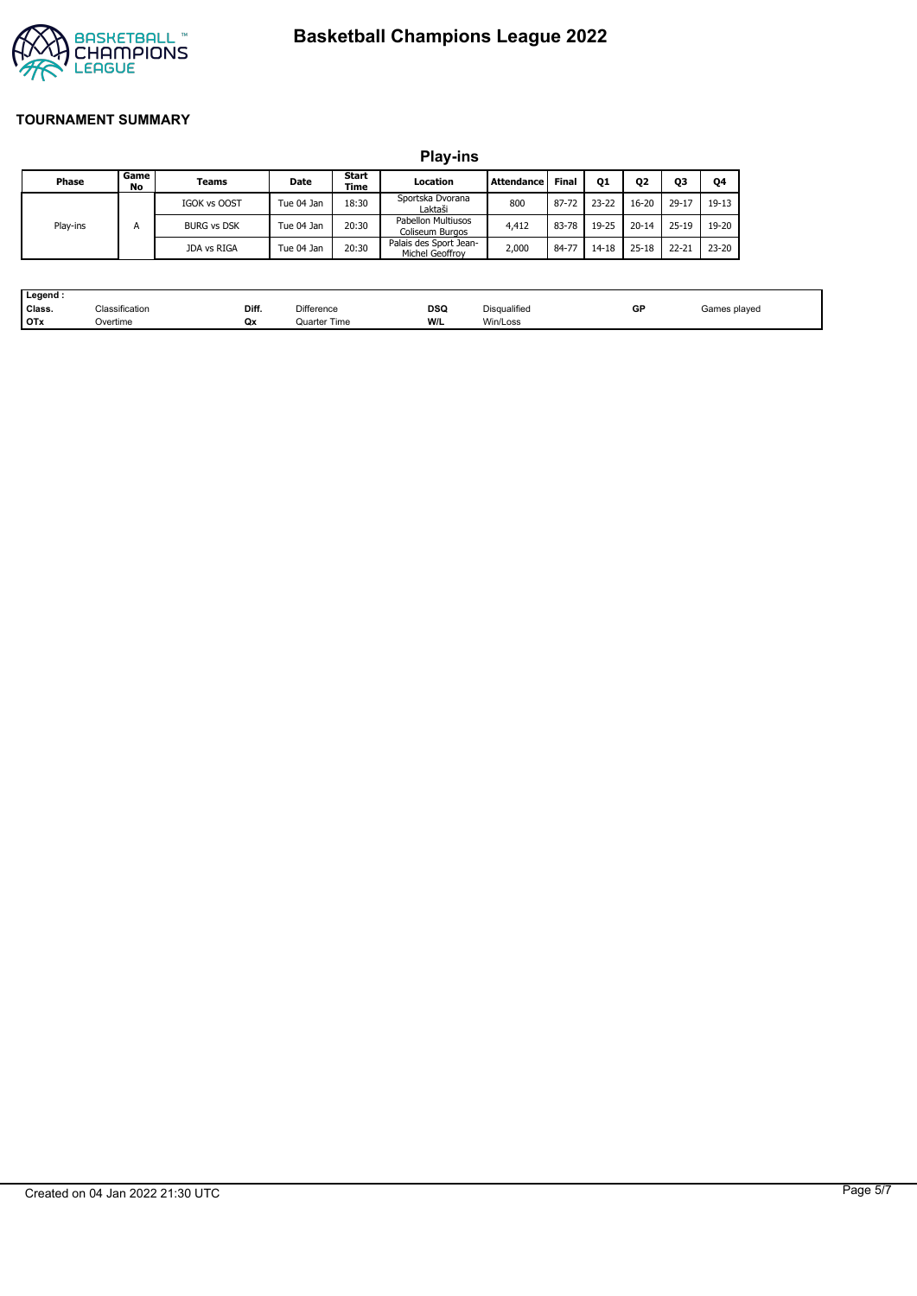



|          |            |                                            |            |            | <b>Play-ins</b>                           |       |                |           |           |           |           |
|----------|------------|--------------------------------------------|------------|------------|-------------------------------------------|-------|----------------|-----------|-----------|-----------|-----------|
| Phase    | Game<br>No | Start<br>Location<br>Date<br>Teams<br>Time |            | Attendance | Final                                     | Q1    | Q <sub>2</sub> | Q3        | Q4        |           |           |
|          |            | <b>IGOK vs OOST</b>                        | Tue 04 Jan | 18:30      | Sportska Dvorana<br>Laktaši               | 800   | 87-72          | $23 - 22$ | $16 - 20$ | $29 - 17$ | $19-13$   |
| Play-ins | А          | <b>BURG vs DSK</b>                         | Tue 04 Jan | 20:30      | Pabellon Multiusos<br>Coliseum Burgos     | 4.412 | 83-78          | 19-25     | $20 - 14$ | $25 - 19$ | 19-20     |
|          |            | JDA vs RIGA                                | Tue 04 Jan | 20:30      | Palais des Sport Jean-<br>Michel Geoffroy | 2,000 | 84-77          | 14-18     | $25 - 18$ | $22 - 21$ | $23 - 20$ |

| Legend:    |                |       |                   |     |                                                 |    |                                                     |
|------------|----------------|-------|-------------------|-----|-------------------------------------------------|----|-----------------------------------------------------|
| Class.     | Classification | Diff. | <b>Difference</b> | DSQ | Disqualified                                    | GP | Games plaved<br>the contract of the contract of the |
| <b>OTx</b> | Overtime       | Qx    | Quarter Time      | W/L | Win/Loss<br>the contract of the contract of the |    |                                                     |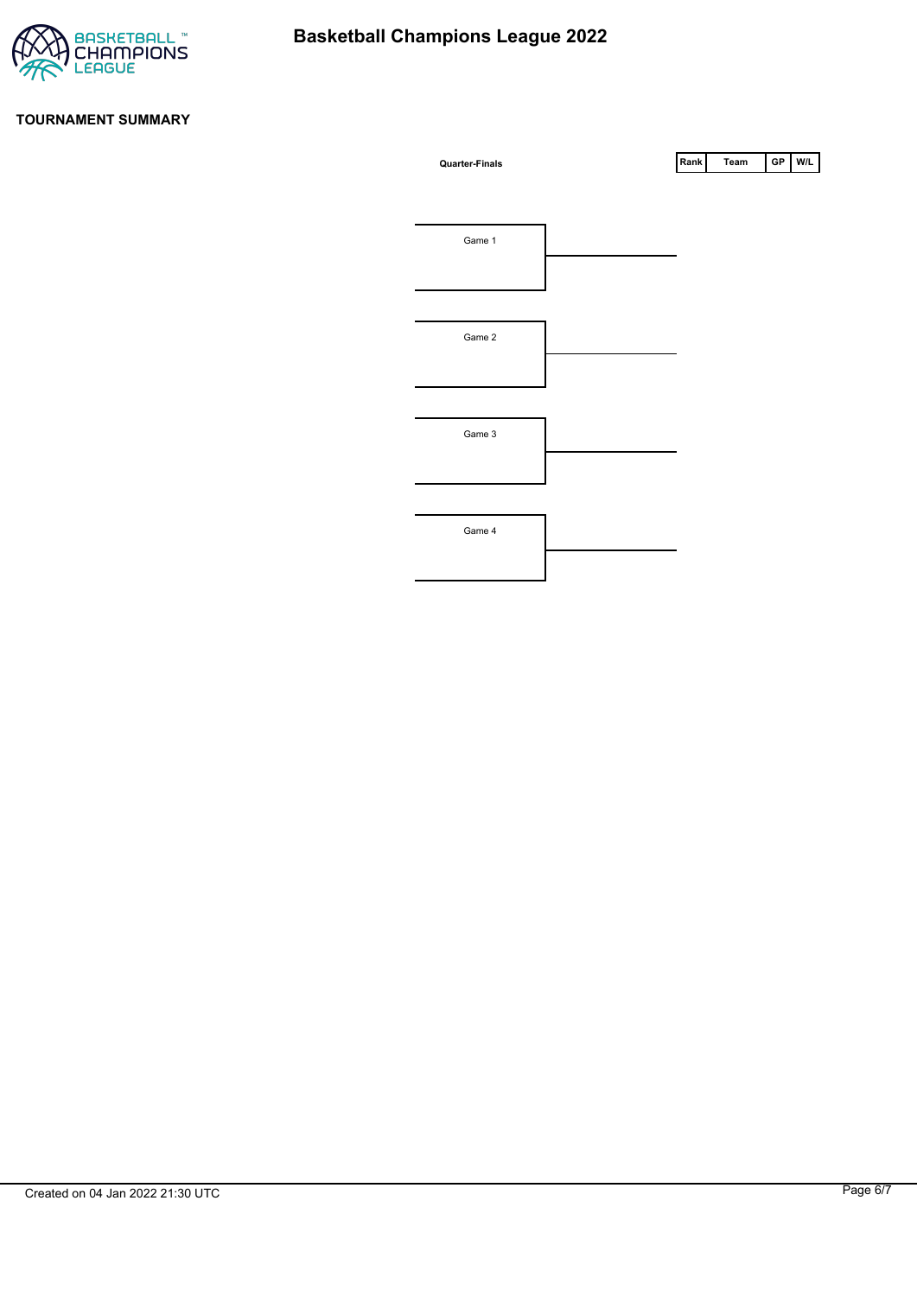